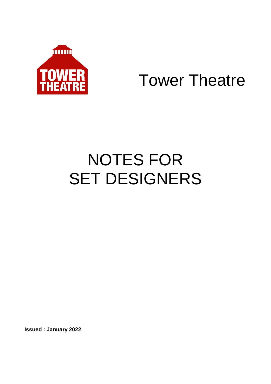

## Tower Theatre

# NOTES FOR SET DESIGNERS

**Issued : January 2022**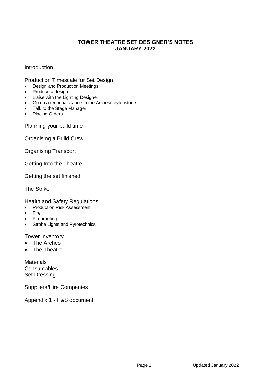## **TOWER THEATRE SET DESIGNER'S NOTES JANUARY 2022**

## Introduction

Production Timescale for Set Design

- Design and Production Meetings
- Produce a design
- Liaise with the Lighting Designer
- Go on a reconnaissance to the Arches/Leytonstone
- Talk to the Stage Manager
- Placing Orders

Planning your build time

Organising a Build Crew

Organising Transport

Getting Into the Theatre

Getting the set finished

The Strike

Health and Safety Regulations

- Production Risk Assessment
- Fire
- Fireproofing
- Strobe Lights and Pyrotechnics

Tower Inventory

- The Arches
- The Theatre

**Materials Consumables** Set Dressing

Suppliers/Hire Companies

Appendix 1 - H&S document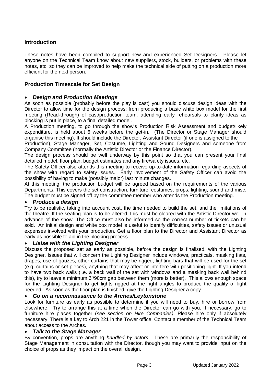## **Introduction**

These notes have been compiled to support new and experienced Set Designers. Please let anyone on the Technical Team know about new suppliers, stock, builders, or problems with these notes, etc. so they can be improved to help make the technical side of putting on a production more efficient for the next person.

## **Production Timescale for Set Design**

## *Design and Production Meetings*

As soon as possible (probably before the play is cast) you should discuss design ideas with the Director to allow time for the design process; from producing a basic white box model for the first meeting (Read-through) of cast/production team, attending early rehearsals to clarify ideas as blocking is put in place, to a final detailed model.

A Production meeting, to go through the show's Production Risk Assessment and budget/likely expenditure, is held about 6 weeks before the get-in. (The Director or Stage Manager should organise this meeting). It should include the Director, Assistant Director (if one is assigned to the

Production), Stage Manager, Set, Costume, Lighting and Sound Designers and someone from Company Committee (normally the Artistic Director or the Finance Director).

The design process should be well underway by this point so that you can present your final detailed model, floor plan, budget estimates and any fire/safety issues, etc.

The Safety Officer also attends this meeting to receive up-to-date information regarding aspects of the show with regard to safety issues. Early involvement of the Safety Officer can avoid the possibility of having to make (possibly major) last minute changes.

At this meeting, the production budget will be agreed based on the requirements of the various Departments. This covers the set construction, furniture, costumes, props, lighting, sound and misc. The budget must be signed off by the committee member who attends the Production meeting.

#### *Produce a design*

Try to be realistic, taking into account cost, the time needed to build the set, and the limitations of the theatre. If the seating plan is to be altered, this must be cleared with the Artistic Director well in advance of the show. The Office must also be informed so the correct number of tickets can be sold. An initial design and white box model is useful to identify difficulties, safety issues or unusual expenses involved with your production. Get a floor plan to the Director and Assistant Director as early as possible to aid in the blocking process.

#### *Liaise with the Lighting Designer*

Discuss the proposed set as early as possible, before the design is finalised, with the Lighting Designer. Issues that will concern the Lighting Designer include windows, practicals, masking flats, drapes, use of gauzes, other curtains that may be rigged, lighting bars that will be used for the set (e.g. curtains or set pieces), anything that may affect or interfere with positioning light. If you intend to have two back walls (i.e. a back wall of the set with windows and a masking back wall behind this), try to leave a minimum 3'/90cm gap between them (more is better). This allows enough space for the Lighting Designer to get lights rigged at the right angles to produce the quality of light needed. As soon as the floor plan is finished, give the Lighting Designer a copy.

#### *Go on a reconnaissance to the Arches/Leytonstone*

Look for furniture as early as possible to determine if you will need to buy, hire or borrow from elsewhere. Try to arrange this at a time when the Director can go with you. If necessary, go to furniture hire places together (*see section on Hire Companies)*. Please hire only if absolutely necessary. There is a key to Arch 221 in the Tower office. Contact a member of the Technical Team about access to the Arches.

#### *Talk to the Stage Manager*

By convention, props are anything *handled by actors*. These are primarily the responsibility of Stage Management in consultation with the Director, though you may want to provide input on the choice of props as they impact on the overall design.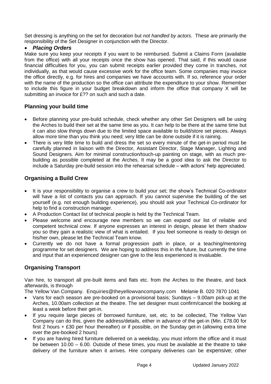Set dressing is anything on the set for decoration but *not handled by actors*. These are primarily the responsibility of the Set Designer in conjunction with the Director.

## *Placing Orders*

Make sure you keep your receipts if you want to be reimbursed. Submit a Claims Form (available from the office) with all your receipts once the show has opened. That said, if this would cause financial difficulties for you, you can submit receipts earlier provided they come in tranches, not individually, as that would cause excessive work for the office team. Some companies may invoice the office directly, e.g. for hires and companies we have accounts with. If so, reference your order with the name of the production so the office can attribute the expenditure to your show. Remember to include this figure in your budget breakdown and inform the office that company X will be submitting an invoice for £?? on such and such a date.

## **Planning your build time**

- Before planning your pre-build schedule, check whether any other Set Designers will be using the Arches to build their set at the same time as you. It can help to be there at the same time but it can also slow things down due to the limited space available to build/store set pieces. Always allow more time than you think you need; very little can be done outside if it is raining.
- There is very little time to build and dress the set so every minute of the get-in period must be carefully planned in liaison with the Director, Assistant Director, Stage Manager, Lighting and Sound Designers. Aim for minimal construction/touch-up painting on stage, with as much prebuilding as possible completed at the Arches. It may be a good idea to ask the Director to include a Saturday pre-build session into the rehearsal schedule – with actors' help appreciated.

## **Organising a Build Crew**

- It is your responsibility to organise a crew to build your set; the show's Technical Co-ordinator will have a list of contacts you can approach. If you cannot supervise the building of the set yourself (e.g. not enough building experience), you should ask your Technical Co-ordinator for help to find a construction manager.
- A Production Contact list of technical people is held by the Technical Team.
- Please welcome and encourage new members so we can expand our list of reliable and competent technical crew. If anyone expresses an interest in design, please let them shadow you so they gain a realistic view of what is entailed. If you feel someone is ready to design on his/her own, please let the Technical Team know.
- Currently we do not have a formal progression path in place, or a teaching/mentoring programme for set designers. We are hoping to address this in the future, but currently the time and input that an experienced designer can give to the less experienced is invaluable.

## **Organising Transport**

Van hire, to transport all pre-built items and flats etc. from the Arches to the theatre, and back afterwards, is through

The Yellow Van Company. [Enquiries@theyellowvancompany.com](mailto:Enquiries@theyellowvancompany.com) Melanie B. 020 7870 1041

- Vans for each season are pre-booked on a provisional basis; Sundays 9.00am pick-up at the Arches, 10.00am collection at the theatre. The set designer must confirm/cancel the booking at least a week before their get-in.
- If you require large pieces of borrowed furniture, set, etc. to be collected, The Yellow Van Company can do this, given the address/details, either in advance of the get-in (Min. £78.00 for first 2 hours + £30 per hour thereafter) or if possible, on the Sunday get-in (allowing extra time over the pre-booked 2 hours)
- If you are having hired furniture delivered on a weekday, you must inform the office and it must be between 10.00 – 6.00. Outside of these times, you must be available at the theatre to take delivery of the furniture when it arrives. Hire company deliveries can be expensive; other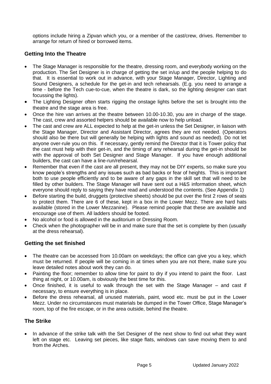options include hiring a Zipvan which you, or a member of the cast/crew, drives. Remember to arrange for return of hired or borrowed items.

## **Getting Into the Theatre**

- The Stage Manager is responsible for the theatre, dressing room, and everybody working on the production. The Set Designer is in charge of getting the set in/up and the people helping to do that. It is essential to work out in advance, with your Stage Manager, Director, Lighting and Sound Designers, a schedule for the get-in and tech rehearsals. (E.g. you need to arrange a time - before the Tech cue-to-cue, when the theatre is dark, so the lighting designer can start focussing the lights).
- The Lighting Designer often starts rigging the onstage lights before the set is brought into the theatre and the stage area is free.
- Once the hire van arrives at the theatre between 10.00-10.30, you are in charge of the stage. The cast, crew and assorted helpers should be available now to help unload.
- The cast and crew are ALL expected to help at the get-in unless the Set Designer, in liaison with the Stage Manager, Director and Assistant Director, agrees they are not needed. (Operators should also be there but will generally be helping with lights and sound as needed). Do not let anyone over-rule you on this. If necessary, gently remind the Director that it is Tower policy that the cast must help with their get-in, and the timing of any rehearsal during the get-in should be with the approval of both Set Designer and Stage Manager. If you have enough additional builders, the cast can have a line-run/rehearsal.
- Remember that even if the cast are all present, they may not be DIY experts, so make sure you know people's strengths and any issues such as bad backs or fear of heights. This is important both to use people efficiently and to be aware of any gaps in the skill set that will need to be filled by other builders. The Stage Manager will have sent out a H&S information sheet, which everyone should reply to saying they have read and understood the contents. (See Appendix 1)
- Before starting the build, druggets (protective sheets) should be put over the first 2 rows of seats to protect them. There are 6 of these, kept in a box in the Lower Mezz. There are hard hats available (stored in the Lower Mezzanine). Please remind people that these are available and encourage use of them. All ladders should be footed.
- No alcohol or food is allowed in the auditorium or Dressing Room.
- Check when the photographer will be in and make sure that the set is complete by then (usually at the dress rehearsal).

## **Getting the set finished**

- The theatre can be accessed from 10.00am on weekdays; the office can give you a key, which must be returned. If people will be coming in at times when you are not there, make sure you leave detailed notes about work they can do.
- Painting the floor; remember to allow time for paint to dry if you intend to paint the floor. Last thing at night, or 10.00am, is obviously the best time for this.
- Once finished, it is useful to walk through the set with the Stage Manager and cast if necessary, to ensure everything is in place.
- Before the dress rehearsal, all unused materials, paint, wood etc. must be put in the Lower Mezz. Under no circumstances must materials be dumped in the Tower Office, Stage Manager's room, top of the fire escape, or in the area outside, behind the theatre.

## **The Strike**

 In advance of the strike talk with the Set Designer of the next show to find out what they want left on stage etc. Leaving set pieces, like stage flats, windows can save moving them to and from the Arches.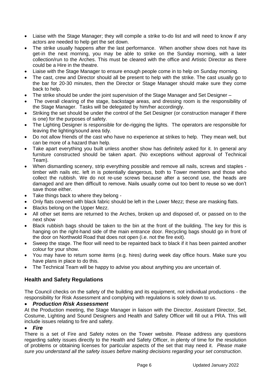- Liaise with the Stage Manager; they will compile a strike to-do list and will need to know if any actors are needed to help get the set down.
- The strike usually happens after the last performance. When another show does not have its get-in the next morning, you may be able to strike on the Sunday morning, with a later collection/run to the Arches. This must be cleared with the office and Artistic Director as there could be a Hire in the theatre.
- Liaise with the Stage Manager to ensure enough people come in to help on Sunday morning.
- The cast, crew and Director should all be present to help with the strike. The cast usually go to the bar for 20-30 minutes, then the Director or Stage Manager should make sure they come back to help.
- The strike should be under the joint supervision of the Stage Manager and Set Designer –
- The overall clearing of the stage, backstage areas, and dressing room is the responsibility of the Stage Manager. Tasks will be delegated by him/her accordingly.
- Striking the set should be under the control of the Set Designer (or construction manager if there is one) for the purposes of safety.
- The Lighting Designer is responsible for de-rigging the lights. The operators are responsible for leaving the lighting/sound area tidy.
- Do not allow friends of the cast who have no experience at strikes to help. They mean well, but can be more of a hazard than help.
- Take apart everything you built unless another show has definitely asked for it. In general any furniture constructed should be taken apart. (No exceptions without approval of Technical Team).
- When dismantling scenery, strip everything possible and remove all nails, screws and staples timber with nails etc. left in is potentially dangerous, both to Tower members and those who collect the rubbish. We do not re-use screws because after a second use, the heads are damaged and are then difficult to remove. Nails usually come out too bent to reuse so we don't save those either.
- Take things back to where they belong -
- Only flats covered with black fabric should be left in the Lower Mezz; these are masking flats.
- Blacks belong on the Upper Mezz.
- All other set items are returned to the Arches, broken up and disposed of, or passed on to the next show
- Black rubbish bags should be taken to the bin at the front of the building. The key for this is hanging on the right-hand side of the main entrance door. Recycling bags should go in front of the door on Northwold Road that does not open (i.e. not the fire exit).
- Sweep the stage. The floor will need to be repainted back to black if it has been painted another colour for your show.
- You may have to return some items (e.g. hires) during week day office hours. Make sure you have plans in place to do this.
- The Technical Team will be happy to advise you about anything you are uncertain of.

## **Health and Safety Regulations**

The Council checks on the safety of the building and its equipment, not individual productions - the responsibility for Risk Assessment and complying with regulations is solely down to us.

## *Production Risk Assessment*

At the Production meeting, the Stage Manager in liaison with the Director, Assistant Director, Set, Costume, Lighting and Sound Designers and Health and Safety Officer will fill out a PRA. This will include issues relating to fire and safety.

#### *Fire*

There is a set of Fire and Safety notes on the Tower website. Please address any questions regarding safety issues directly to the Health and Safety Officer, in plenty of time for the resolution of problems or obtaining licenses for particular aspects of the set that may need it. *Please make sure you understand all the safety issues before making decisions regarding your set construction*.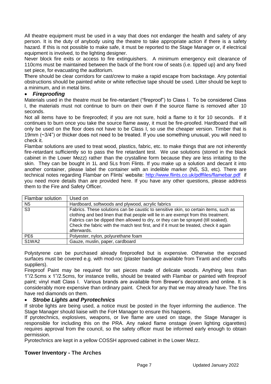All theatre equipment must be used in a way that does not endanger the health and safety of any person. It is the duty of anybody using the theatre to take appropriate action if there is a safety hazard. If this is not possible to make safe, it must be reported to the Stage Manager or, if electrical equipment is involved, to the lighting designer.

Never block fire exits or access to fire extinguishers. A minimum emergency exit clearance of 110cms must be maintained between the back of the front row of seats (i.e. tipped up) and any fixed set piece, for evacuating the auditorium.

**T**here should be clear corridors for cast/crew to make a rapid escape from backstage. Any potential obstructions should be painted white or white reflective tape should be used. Litter should be kept to a minimum, and in metal bins.

## *Fireproofing*

Materials used in the theatre must be fire-retardant ("fireproof") to Class I. To be considered Class I, the materials must not continue to burn on their own if the source flame is removed after 10 seconds.

Not all items have to be fireproofed; if you are not sure, hold a flame to it for 10 seconds. If it continues to burn once you take the source flame away, it must be fire-proofed. Hardboard that will only be used on the floor does not have to be Class I, so use the cheaper version. Timber that is 19mm (~3/4") or thicker does not need to be treated. If you use something unusual, you will need to check it.

Flambar solutions are used to treat wood, plastics, fabric, etc. to make things that are not inherently fire-retardant sufficiently so to pass the fire retardant test. We use solutions (stored in the black cabinet in the Lower Mezz) rather than the crystalline form because they are less irritating to the skin. They can be bought in 1L and 5Ls from Flints. If you make up a solution and decant it into another container, please label the container with an indelible marker (N5, S3, etc). There are technical notes regarding Flambar on Flints' website: <http://www.flints.co.uk/pdffiles/flamebar.pdf>if you need more details than are provided here. If you have any other questions, please address them to the Fire and Safety Officer.

| Flambar solution               | Used on                                                                                                                                                                                                                                                                                                                                                                 |
|--------------------------------|-------------------------------------------------------------------------------------------------------------------------------------------------------------------------------------------------------------------------------------------------------------------------------------------------------------------------------------------------------------------------|
| N5                             | Hardboard, softwoods and plywood, acrylic fabrics                                                                                                                                                                                                                                                                                                                       |
| S3                             | Fabrics. These solutions can be caustic to sensitive skin, so certain items, such as<br>clothing and bed linen that that people will lie in are exempt from this treatment.<br>Fabrics can be dipped then allowed to dry, or they can be sprayed (till soaked).<br>Check the fabric with the match test first, and if it must be treated, check it again<br>afterwards. |
| PE <sub>6</sub>                | Polyester, nylon, polyurethane foam                                                                                                                                                                                                                                                                                                                                     |
| S <sub>1</sub> WA <sub>2</sub> | Gauze, muslin, paper, cardboard                                                                                                                                                                                                                                                                                                                                         |

Polystyrene can be purchased already fireproofed but is expensive. Otherwise the exposed surfaces must be covered e.g. with mod-roc (plaster bandage available from Tiranti and other crafts suppliers).

Fireproof Paint may be required for set pieces made of delicate woods. Anything less than 1"/2.5cms x 1"/2.5cms, for instance trellis, should be treated with Flambar or painted with fireproof paint; vinyl matt Class I. Various brands are available from Brewer's decorators and online. It is considerably more expensive than ordinary paint. Check for any that we may already have. The tins have red diamonds on them.

## *Strobe Lights and Pyrotechnics*

If strobe lights are being used, a notice must be posted in the foyer informing the audience. The Stage Manager should liaise with the FoH Manager to ensure this happens.

If pyrotechnics, explosives, weapons, or live flame are used on stage, the Stage Manager is responsible for including this on the PRA. Any naked flame onstage (even lighting cigarettes) requires approval from the council, so the safety officer must be informed early enough to obtain permission.

Pyrotechnics are kept in a yellow COSSH approved cabinet in the Lower Mezz.

## **Tower Inventory - The Arches**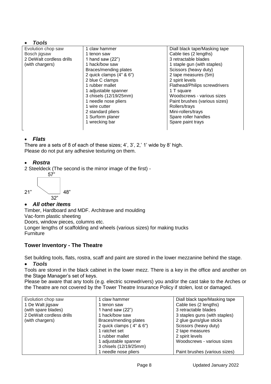## *Tools*

| Evolution chop saw       | 1 claw hammer            | Diall black tape/Masking tape |
|--------------------------|--------------------------|-------------------------------|
| Bosch jigsaw             | 1 tenon saw              | Cable ties (2 lengths)        |
| 2 DeWalt cordless drills | 1 hand saw $(22")$       | 3 retractable blades          |
| (with chargers)          | 1 hack/bow saw           | 1 staple gun (with staples)   |
|                          | Braces/mending plates    | Scissors (heavy duty)         |
|                          | 2 quick clamps (4" & 6") | 2 tape measures (5m)          |
|                          | 2 blue C clamps          | 2 spirit levels               |
|                          | 1 rubber mallet          | Flathead/Philips screwdrivers |
|                          | 1 adjustable spanner     | 1 T square                    |
|                          | 3 chisels (12/19/25mm)   | Woodscrews - various sizes    |
|                          | 1 needle nose pliers     | Paint brushes (various sizes) |
|                          | 1 wire cutter            | Rollers/trays                 |
|                          | 2 standard pliers        | Mini-rollers/trays            |
|                          | 1 Surform planer         | Spare roller handles          |
|                          | 1 wrecking bar           | Spare paint trays             |
|                          |                          |                               |

## *Flats*

There are a sets of 8 of each of these sizes; 4', 3', 2,' 1' wide by 8' high. Please do not put any adhesive texturing on them.

## *Rostra*

2 Steeldeck (The second is the mirror image of the first) -



## *All other items*

Timber, Hardboard and MDF. Architrave and moulding Vac-form plastic sheeting

Doors, window pieces, columns etc.

Longer lengths of scaffolding and wheels (various sizes) for making trucks **Furniture** 

## **Tower Inventory - The Theatre**

Set building tools, flats, rostra, scaff and paint are stored in the lower mezzanine behind the stage.

## *Tools*

Tools are stored in the black cabinet in the lower mezz. There is a key in the office and another on the Stage Manager's set of keys.

Please be aware that any tools (e.g. electric screwdrivers) you and/or the cast take to the Arches or the Theatre are not covered by the Tower Theatre Insurance Policy if stolen, lost or damaged.

| Evolution chop saw       | 1 claw hammer              | Diall black tape/Masking tape |
|--------------------------|----------------------------|-------------------------------|
| 1 De Walt jigsaw         | 1 tenon saw                | Cable ties (2 lengths)        |
| (with spare blades)      | 1 hand saw $(22")$         | 3 retractable blades          |
| 2 DeWalt cordless drills | 1 hack/bow saw             | 3 staples guns (with staples) |
| (with chargers)          | Braces/mending plates      | 2 glue guns/glue sticks       |
|                          | 2 quick clamps $(4" 8 6")$ | Scissors (heavy duty)         |
|                          | 1 ratchet set              | 2 tape measures               |
|                          | 1 rubber mallet            | 2 spirit levels               |
|                          | 1 adjustable spanner       | Woodscrews - various sizes    |
|                          | 3 chisels (12/19/25mm)     |                               |
|                          | 1 needle nose pliers       | Paint brushes (various sizes) |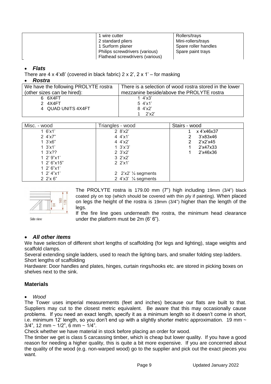| 1 wire cutter                   | Rollers/trays        |
|---------------------------------|----------------------|
| 2 standard pliers               | Mini-rollers/trays   |
| 1 Surform planer                | Spare roller handles |
| Philips screwdrivers (various)  | Spare paint trays    |
| Flathead screwdrivers (various) |                      |

## *Flats*

There are  $4 \times 4 \times 8'$  (covered in black fabric)  $2 \times 2'$ ,  $2 \times 1'$  – for masking

#### *Rostra*

| We have the following PROLYTE rostra | There is a selection of wood rostra stored in the lower |
|--------------------------------------|---------------------------------------------------------|
| (other sizes can be hired):          | mezzanine beside/above the PROLYTE rostra               |
| 6 6X4FT                              | 1 $4'x3'$                                               |
| 2 4X4FT                              | $5 \frac{4}{x}1'$                                       |
| 4 QUAD UNITS 4X4FT                   | $8 \frac{4}{x^2}$                                       |
|                                      | 2'x2'                                                   |

| Misc. - wood      | Triangles - wood                 | Stairs - wood |
|-------------------|----------------------------------|---------------|
| 1.6'x1'           | 2 8'x2'                          | x 4'x46x37    |
| $2 \frac{4}{x7}$  | 4 $4'x1'$                        | 3'x83x46<br>2 |
| $1 \, 3'x6"$      | 4 $4'x2'$                        | 2'x2'x45<br>2 |
| $1 \, 3'x1'$      | $1 \, 3'x'3'$                    | 2'x47x33      |
| 1 $3'x$ ??        | $2 \frac{3}{x^2}$                | 2'x46x36      |
| 1 2' $9"x1'$      | $3 \frac{2}{x^2}$                |               |
| 1 2' 6"x15"       | $2 \frac{2}{x}1'$                |               |
| $1 \ 2' 6'' x 1'$ |                                  |               |
| $1 \t2' 4''$ x1'  | 2 $2'x2'$ % segments             |               |
| $2 \frac{2}{x} 6$ | 2 $4'x3'$ $\frac{1}{4}$ segments |               |



The PROLYTE rostra is 179.00 mm (7") high including 19mm (3/4") black coated ply on top (which should be covered with thin ply if painting). When placed on legs the height of the rostra is 19mm (3/4") higher than the length of the legs.

Side view

If the fire line goes underneath the rostra, the minimum head clearance under the platform must be 2m (6' 6").

## *All other items*

We have selection of different short lengths of scaffolding (for legs and lighting), stage weights and scaffold clamps.

Several extending single ladders, used to reach the lighting bars, and smaller folding step ladders. Short lengths of scaffolding

Hardware: Door handles and plates, hinges, curtain rings/hooks etc. are stored in picking boxes on shelves next to the sink.

## **Materials**

#### *Wood*

The Tower uses imperial measurements (feet and inches) because our flats are built to that. Suppliers may cut to the closest metric equivalent. Be aware that this may occasionally cause problems. If you need an exact length, specify it as a minimum length so it doesn't come in short, i.e. minimum 12' length, so you don't end up with a slightly shorter metric approximation. 19 mm  $\sim$  $3/4$ ", 12 mm ~ 1/2", 6 mm ~ 1/4".

Check whether we have material in stock before placing an order for wood.

The timber we get is class 5 carcassing timber, which is cheap but lower quality. If you have a good reason for needing a higher quality, this is quite a bit more expensive. If you are concerned about the quality of the wood (e.g. non-warped wood) go to the supplier and pick out the exact pieces you want.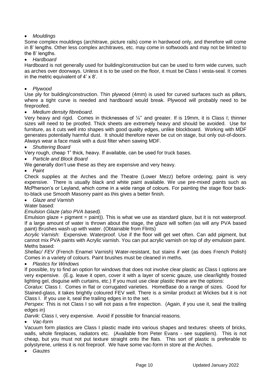## *Mouldings*

Some complex mouldings (architrave, picture rails) come in hardwood only, and therefore will come in 8' lengths. Other less complex architraves, etc. may come in softwoods and may not be limited to the 8' lengths.

*Hardboard* 

Hardboard is not generally used for building/construction but can be used to form wide curves, such as arches over doorways. Unless it is to be used on the floor, it must be Class I vesta-seal. It comes in the metric equivalent of 4' x 8'.

*Plywood* 

Use ply for building/construction. Thin plywood (4mm) is used for curved surfaces such as pillars, where a tight curve is needed and hardboard would break. Plywood will probably need to be fireproofed.

*Medium density fibreboard*.

Very heavy and rigid. Comes in thicknesses of ¼'' and greater. If is 19mm, it is Class I; thinner sizes will need to be proofed. Thick sheets are extremely heavy and should be avoided. Use for furniture, as it cuts well into shapes with good quality edges, unlike blockboard. Working with MDF generates potentially harmful dust. It should therefore never be cut on stage, but only out-of-doors. Always wear a face mask with a dust filter when sawing MDF.

*Shuttering Board*

Very rough, cheap 1" thick, heavy. If available, can be used for truck bases.

*Particle and Block Board* 

We generally don't use these as they are expensive and very heavy.

*Paint*

Check supplies at the Arches and the Theatre (Lower Mezz) before ordering; paint is very expensive. There is usually black and white paint available. We use pre-mixed paints such as McPherson's or Leyland, which come in a wide range of colours. For painting the stage floor backto-black use Smooth Masonry paint as this gives a better finish.

*Glaze and Varnish*

Water based:

#### *Emulsion Glaze (also PVA based).*

Emulsion glaze + pigment = paint)). This is what we use as standard glaze, but it is not waterproof. If a large amount of water is thrown about the stage, the glaze will soften (as will any PVA based paint) Brushes wash up with water. (Obtainable from Flints)

*Acrylic Varnish*: Expensive. Waterproof. Use if the floor will get wet often. Can add pigment, but cannot mix PVA paints with Acrylic varnish. You can put acrylic varnish on top of *dry* emulsion paint. Meths based:

*Shellac/ FEV* (French Enamel Varnish) Water-resistant, but stains if wet (as does French Polish) Comes in a variety of colours. Paint brushes must be cleaned in meths.

#### *Plastics for Windows*

If possible, try to find an option for windows that does not involve clear plastic as Class I options are very expensive. (E.g. leave it open, cover it with a layer of scenic gauze, use clear/lightly frosted lighting gel, disguise with curtains, etc.) If you must use clear plastic these are the options:

*Coralux:* Class I. Comes in flat or corrugated varieties. HomeBase do a range of sizes. Good for Stained-glass, it takes brightly coloured FEV well. There is a similar product at Wickes but it is not Class I. If you use it, seal the trailing edges in to the set.

*Perspex:* This is not Class I so will not pass a fire inspection. (Again, if you use it, seal the trailing edges in)

*Darvik:* Class I, very expensive. Avoid if possible for financial reasons.

*Vac-form*

Vacuum form plastics are Class I plastic made into various shapes and textures: sheets of bricks, walls, whole fireplaces, radiators etc. (Available from Peter Evans - see suppliers). This is not cheap, but you must not put texture straight onto the flats. This sort of plastic is preferable to polystyrene, unless it is not fireproof. We have some vac-form in store at the Arches.

*Gauzes*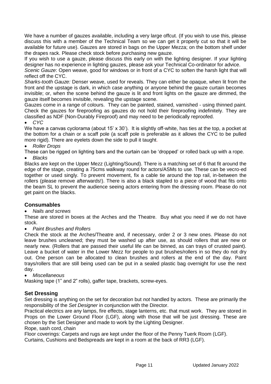We have a number of gauzes available, including a very large offcut. (If you wish to use this, please discuss this with a member of the Technical Team so we can get it properly cut so that it will be available for future use). Gauzes are stored in bags on the Upper Mezza; on the bottom shelf under the drapes rack. Please check stock before purchasing new gauze.

If you wish to use a gauze, please discuss this early on with the lighting designer. If your lighting designer has no experience in lighting gauzes, please ask your Technical Co-ordinator for advice.

*Scenic Gauze*: Open weave, good for windows or in front of a CYC to soften the harsh light that will reflect off the CYC.

*Sharks-tooth Gauze:* Denser weave, used for reveals. They can either be opaque, when lit from the front and the upstage is dark, in which case anything or anyone behind the gauze curtain becomes invisible; or, when the scene behind the gauze is lit and front lights on the gauze are dimmed, the gauze itself becomes invisible, revealing the upstage scene.

Gauzes come in a range of colours. They can be painted, stained, varnished - using thinned paint. Check the gauzes for fireproofing as gauzes do not hold their fireproofing indefinitely. They are classified as NDF (Non-Durably Fireproof) and may need to be periodically reproofed.

*CYC*

We have a canvas cyclorama (about 15' x 30'). It is slightly off-white, has ties at the top, a pocket at the bottom for a chain or a scaff pole (a scaff pole is preferable as it allows the CYC to be pulled more rigid). There are evelets down the side to pull it taught.

#### *Roller Drops*

These can be rigged on lighting bars and the curtain can be 'dropped' or rolled back up with a rope.

*Blacks*

Blacks are kept on the Upper Mezz (Lighting/Sound). There is a matching set of 6 that fit around the edge of the stage, creating a 75cms walkway round for actors/ASMs to use. These can be vecro-ed together or used singly. To prevent movement, fix a cable tie around the top rail, in-between the rollers (please remove afterwards!). There is also a black stapled to a piece of wood that fits onto the beam SL to prevent the audience seeing actors entering from the dressing room. Please do not get paint on the blacks.

## **Consumables**

*Nails and screws*

These are stored in boxes at the Arches and the Theatre. Buy what you need if we do not have stock.

*Paint Brushes and Rollers*

Check the stock at the Arches/Theatre and, if necessary, order 2 or 3 new ones. Please do not leave brushes uncleaned; they must be washed up after use, as should rollers that are new or nearly new. (Rollers that are passed their useful life can be binned, as can trays of crusted paint). Leave a bucket of water in the Lower Mezz for people to put brushes/rollers in so they do not dry out. One person can be allocated to clean brushes and rollers at the end of the day. Paint trays/rollers that are still being used can be put in a sealed plastic bag overnight for use the next day.

#### *Miscellaneous*

Masking tape (1" and 2" rolls), gaffer tape, brackets, screw-eyes.

## **Set Dressing**

Set dressing is anything on the set for decoration but *not* handled by actors. These are primarily the responsibility of the *Set Designer* in conjunction with the Director.

Practical electrics are any lamps, fire effects, stage lanterns, etc. that must work. They are stored in Props on the Lower Ground Floor (LGF), along with those that will be just dressing. These are chosen by the Set Designer and made to work by the Lighting Designer.

Rope, sash cord, chain

Floor coverings: Carpets and rugs are kept under the floor of the Penny Tuerk Room (LGF).

Curtains, Cushions and Bedspreads are kept in a room at the back of RR3 (LGF).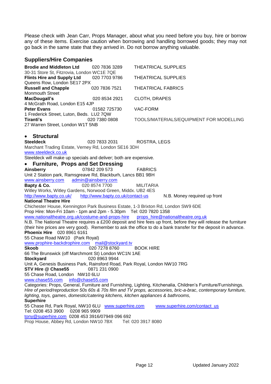Please check with Jean Carr, Props Manager, about what you need before you buy, hire or borrow any of these items. Exercise caution when borrowing and handling borrowed goods; they may not go back in the same state that they arrived in. Do not borrow anything valuable.

## **Suppliers/Hire Companies**

| Suppliers/Hire Companies                                                                               |                                   |                                                                                                                                                                                                         |
|--------------------------------------------------------------------------------------------------------|-----------------------------------|---------------------------------------------------------------------------------------------------------------------------------------------------------------------------------------------------------|
| <b>Brodie and Middleton Ltd</b>                                                                        | 020 7836 3289                     | <b>THEATRICAL SUPPLIES</b>                                                                                                                                                                              |
| 30-31 Store St, Fitzrovia, London WC1E 7QE                                                             |                                   |                                                                                                                                                                                                         |
| <b>Flints Hire and Supply Ltd</b>                                                                      | 020 7703 9786                     | <b>THEATRICAL SUPPLIES</b>                                                                                                                                                                              |
| Queens Row, London SE17 2PX                                                                            |                                   |                                                                                                                                                                                                         |
| <b>Russell and Chapple</b>                                                                             | 020 7836 7521                     | <b>THEATRICAL FABRICS</b>                                                                                                                                                                               |
| <b>Monmouth Street</b>                                                                                 |                                   |                                                                                                                                                                                                         |
| MacDougall's<br>4 McGrath Road, London E15 4JP                                                         | 020 8534 2921                     | <b>CLOTH, DRAPES</b>                                                                                                                                                                                    |
| <b>Peter Evans</b>                                                                                     | 01582 725730                      | VAC-FORM                                                                                                                                                                                                |
| 1 Frederick Street, Luton, Beds. LU2 7QW                                                               |                                   |                                                                                                                                                                                                         |
| Tiranti's                                                                                              | 020 7380 0808                     | TOOLS/MATERIALS/EQUIPMENT FOR MODELLING                                                                                                                                                                 |
| 27 Warren Street, London W1T 5NB                                                                       |                                   |                                                                                                                                                                                                         |
|                                                                                                        |                                   |                                                                                                                                                                                                         |
| <b>Structural</b>                                                                                      |                                   |                                                                                                                                                                                                         |
| <b>Steeldeck</b>                                                                                       | 020 7833 2031                     | ROSTRA, LEGS                                                                                                                                                                                            |
| Marchant Trading Estate, Verney Rd, London SE16 3DH                                                    |                                   |                                                                                                                                                                                                         |
| www.steeldeck.co.uk                                                                                    |                                   |                                                                                                                                                                                                         |
| Steeldeck will make up specials and deliver; both are expensive.                                       |                                   |                                                                                                                                                                                                         |
| <b>Furniture, Props and Set Dressing</b>                                                               |                                   |                                                                                                                                                                                                         |
| Ainsberry                                                                                              | 07842 209 573                     | <b>FABRICS</b>                                                                                                                                                                                          |
| Unit 2 Station park, Ramsgreave Rd, Blackburh, Lancs BB1 9BH                                           |                                   |                                                                                                                                                                                                         |
| www.ainsberry.com                                                                                      | admin@ainsberry.com               |                                                                                                                                                                                                         |
| Bapty & Co.                                                                                            | 020 8574 7700                     | <b>MILITARIA</b>                                                                                                                                                                                        |
| Witley Works, Witley Gardens, Norwood Green, Middx. UB2 4ES                                            |                                   |                                                                                                                                                                                                         |
| http://www.bapty.co.uk/                                                                                | http://www.bapty.co.uk/contact-us | N.B. Money required up front                                                                                                                                                                            |
| <b>National Theatre Hire</b>                                                                           |                                   |                                                                                                                                                                                                         |
|                                                                                                        |                                   | Chichester House, Kennington Park Business Estate, 1-3 Brixton Rd, London SW9 6DE                                                                                                                       |
| Prop Hire: Mon-Fri 10am - 1pm and 2pm - 5.30pm Tel: 020 7820 1358                                      |                                   |                                                                                                                                                                                                         |
|                                                                                                        |                                   | www.nationaltheatre.org.uk/costume-and-props-hire props hire@nationaltheatre.org.uk<br>N.B. The National Theatre requires a £200 deposit and hire fees up front, before they will release the furniture |
|                                                                                                        |                                   | (their hire prices are very good). Remember to ask the office to do a bank transfer for the deposit in advance.                                                                                         |
| <b>Phoenix Hire</b> 020 8961 6161                                                                      |                                   |                                                                                                                                                                                                         |
| 55 Chase Road NW10 (Park Royal)                                                                        |                                   |                                                                                                                                                                                                         |
| www.prophire-backdrophire.com mail@stockyard.tv                                                        |                                   |                                                                                                                                                                                                         |
| <b>Skoob</b>                                                                                           | 020 7278 8760                     | <b>BOOK HIRE</b>                                                                                                                                                                                        |
| 66 The Brunswick (off Marchmont St) London WC1N 1AE                                                    |                                   |                                                                                                                                                                                                         |
| <b>Stockyard</b>                                                                                       | 020 8963 9944                     |                                                                                                                                                                                                         |
| Unit A, Genesis Business Park, Rainsford Road, Park Royal, London NW10 7RG                             |                                   |                                                                                                                                                                                                         |
| STV Hire @ Chase55                                                                                     | 0871 231 0900                     |                                                                                                                                                                                                         |
| 55 Chase Road, London NW10 6LU                                                                         |                                   |                                                                                                                                                                                                         |
| www.chase55.com<br>info@chase55.com                                                                    |                                   |                                                                                                                                                                                                         |
|                                                                                                        |                                   | Categories: Props, General, Furniture and Furnishing, Lighting, Kitchenalia, Children's Furniture/Furnishings.                                                                                          |
|                                                                                                        |                                   | Hire of period/reproduction 50s 60s & 70s film and TV props, accessories, bric-a-brac, contemporary furniture,                                                                                          |
| lighting, toys, games, domestic/catering kitchens, kitchen appliances & bathrooms,<br><b>Superhire</b> |                                   |                                                                                                                                                                                                         |
| 55 Chase Rd, Park Royal, NW10 6LU www.superhire.com                                                    |                                   | www.superhire.com/contact_us                                                                                                                                                                            |
| Tel: 0208 453 3900<br>0208 965 9909                                                                    |                                   |                                                                                                                                                                                                         |
| tony@superhire.com 0208 453 3916/07949 096 692                                                         |                                   |                                                                                                                                                                                                         |
|                                                                                                        |                                   |                                                                                                                                                                                                         |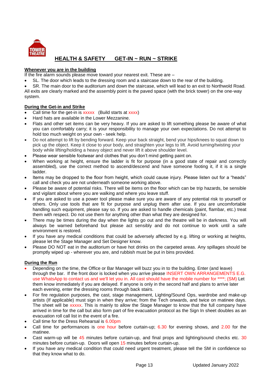

## **HEALTH & SAFETY GET-IN ~ RUN ~ STRIKE**

#### **Whenever you are in the building**

If the fire alarm sounds please move toward your nearest exit. These are –

SL. The door which leads to the dressing room and a staircase down to the rear of the building.

 SR. The main door to the auditorium and down the staircase, which will lead to an exit to Northwold Road. All exits are clearly marked and the assembly point is the paved space (with the brick tower) on the one-way system.

#### **During the Get-in and Strike**

- Call time for the get-in is xxxxx (Build starts at xxxx)
- Hard hats are available in the Lower Mezzanine.
- Flats and other set items can be very heavy. If you are asked to lift something please be aware of what you can comfortably carry; it is your responsibility to manage your own expectations. Do not attempt to hold too much weight on your own - seek help.
- Do not attempt to lift by bending forward. Keep your back straight, bend your hips/knees to squat down to pick up the object. Keep it close to your body, and straighten your legs to lift. Avoid turning/twisting your body while lifting/holding a heavy object and never lift it above shoulder level.
- Please wear sensible footwear and clothes that you don't mind getting paint on.
- When working at height, ensure the ladder is fit for purpose (in a good state of repair and correctly assembled), use the correct method to ascend/descend and have someone footing it, if it is a single ladder.
- Items may be dropped to the floor from height, which could cause injury. Please listen out for a "heads" call and check you are not underneath someone working above.
- Please be aware of potential risks. There will be items on the floor which can be trip hazards, be sensible and vigilant about where you are walking and where you leave stuff.
- If you are asked to use a power tool please make sure you are aware of any potential risk to yourself or others. Only use tools that are fit for purpose and unplug them after use. If you are uncomfortable handling such equipment, please say so. If you are asked to handle chemicals (paint, flambar, etc.) treat them with respect. Do not use them for anything other than what they are designed for.
- There may be times during the day when the lights go out and the theatre will be in darkness. You will always be warned beforehand but please act sensibly and do not continue to work until a safe environment is restored.
- If you have any medical conditions that could be adversely affected by e.g. lifting or working at heights, please let the Stage Manager and Set Designer know.
- Please DO NOT eat in the auditorium or have hot drinks on the carpeted areas. Any spillages should be promptly wiped up - wherever you are, and rubbish must be put in bins provided.

#### **During the Run**

- Depending on the time, the Office or Bar Manager will buzz you in to the building. Enter (and leave) through the bar. If the front door is locked when you arrive please INSERT OWN ARRANGEMENTS E.G. use WhatsApp to contact us and we'll let you in. All cast should have the mobile number for \*\*\*\*; (SM) Let them know immediately if you are delayed. If anyone is only in the second half and plans to arrive later each evening, enter the dressing rooms through back stairs.
- For fire regulation purposes, the cast, stage management, Lighting/Sound Ops, wardrobe and make-up artists (If applicable) must sign in when they arrive; from the Tech onwards, and twice on matinee days. The sheet will be xxxxx. This is mainly to allow the Stage Manager to know that the full company have arrived in time for the call but also form part of fire evacuation protocol as the Sign In sheet doubles as an evacuation roll call list in the event of a fire.
- Call time for the Dress Rehearsal is 6.00pm
- Call time for performances is one hour before curtain-up; 6.30 for evening shows, and 2.00 for the matinee.
- Cast warm-up will be 45 minutes before curtain-up, and final props and lighting/sound checks etc. 30 minutes before curtain-up. Doors will open 15 minutes before curtain-up.
- If you have any medical condition that could need urgent treatment, please tell the SM in confidence so that they know what to do.